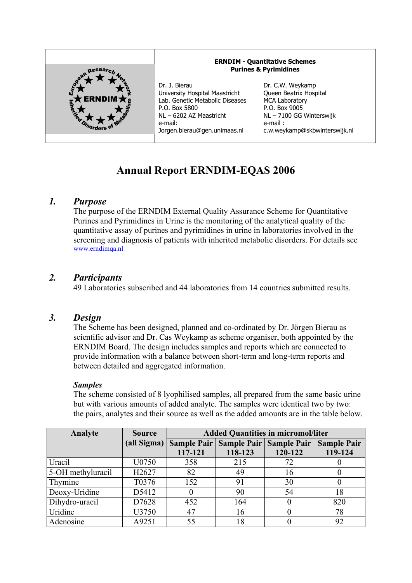

# **Annual Report ERNDIM-EQAS 2006**

# *1. Purpose*

The purpose of the ERNDIM External Quality Assurance Scheme for Quantitative Purines and Pyrimidines in Urine is the monitoring of the analytical quality of the quantitative assay of purines and pyrimidines in urine in laboratories involved in the screening and diagnosis of patients with inherited metabolic disorders. For details see www.erndimqa.nl

# *2. Participants*

49 Laboratories subscribed and 44 laboratories from 14 countries submitted results.

# *3. Design*

The Scheme has been designed, planned and co-ordinated by Dr. Jörgen Bierau as scientific advisor and Dr. Cas Weykamp as scheme organiser, both appointed by the ERNDIM Board. The design includes samples and reports which are connected to provide information with a balance between short-term and long-term reports and between detailed and aggregated information.

## *Samples*

The scheme consisted of 8 lyophilised samples, all prepared from the same basic urine but with various amounts of added analyte. The samples were identical two by two: the pairs, analytes and their source as well as the added amounts are in the table below.

| Analyte           | <b>Source</b> | <b>Added Quantities in micromol/liter</b> |                                         |         |                    |  |
|-------------------|---------------|-------------------------------------------|-----------------------------------------|---------|--------------------|--|
|                   | (all Sigma)   |                                           | Sample Pair   Sample Pair   Sample Pair |         | <b>Sample Pair</b> |  |
|                   |               | 117-121                                   | 118-123                                 | 120-122 | 119-124            |  |
| Uracil            | U0750         | 358                                       | 215                                     | 72      |                    |  |
| 5-OH methyluracil | H2627         | 82                                        | 49                                      | 16      |                    |  |
| Thymine           | T0376         | 152                                       | 91                                      | 30      |                    |  |
| Deoxy-Uridine     | D5412         |                                           | 90                                      | 54      | 18                 |  |
| Dihydro-uracil    | D7628         | 452                                       | 164                                     |         | 820                |  |
| Uridine           | U3750         | 47                                        | 16                                      |         | 78                 |  |
| Adenosine         | A9251         | 55                                        | 18                                      |         | 92                 |  |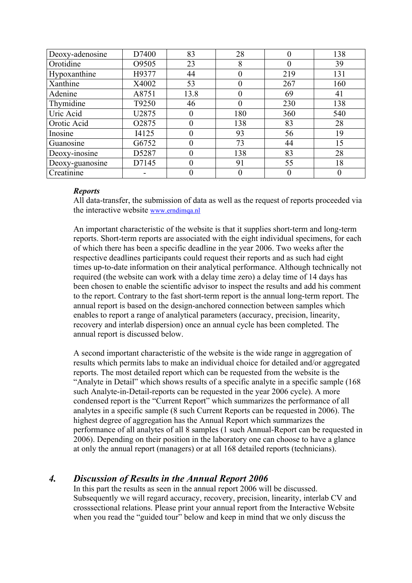| Deoxy-adenosine | D7400              | 83       | 28           |     | 138 |
|-----------------|--------------------|----------|--------------|-----|-----|
| Orotidine       | O9505              | 23       | 8            |     | 39  |
| Hypoxanthine    | H9377              | 44       | 0            | 219 | 131 |
| Xanthine        | X4002              | 53       | $_{0}$       | 267 | 160 |
| Adenine         | A8751              | 13.8     | $\mathbf{0}$ | 69  | 41  |
| Thymidine       | T9250              | 46       | 0            | 230 | 138 |
| Uric Acid       | U2875              | $\theta$ | 180          | 360 | 540 |
| Orotic Acid     | O <sub>2</sub> 875 | 0        | 138          | 83  | 28  |
| Inosine         | I4125              | 0        | 93           | 56  | 19  |
| Guanosine       | G6752              | 0        | 73           | 44  | 15  |
| Deoxy-inosine   | D5287              | 0        | 138          | 83  | 28  |
| Deoxy-guanosine | D7145              | $\theta$ | 91           | 55  | 18  |
| Creatinine      |                    |          |              |     |     |

## *Reports*

All data-transfer, the submission of data as well as the request of reports proceeded via the interactive website www.erndimqa.nl

An important characteristic of the website is that it supplies short-term and long-term reports. Short-term reports are associated with the eight individual specimens, for each of which there has been a specific deadline in the year 2006. Two weeks after the respective deadlines participants could request their reports and as such had eight times up-to-date information on their analytical performance. Although technically not required (the website can work with a delay time zero) a delay time of 14 days has been chosen to enable the scientific advisor to inspect the results and add his comment to the report. Contrary to the fast short-term report is the annual long-term report. The annual report is based on the design-anchored connection between samples which enables to report a range of analytical parameters (accuracy, precision, linearity, recovery and interlab dispersion) once an annual cycle has been completed. The annual report is discussed below.

A second important characteristic of the website is the wide range in aggregation of results which permits labs to make an individual choice for detailed and/or aggregated reports. The most detailed report which can be requested from the website is the "Analyte in Detail" which shows results of a specific analyte in a specific sample (168 such Analyte-in-Detail-reports can be requested in the year 2006 cycle). A more condensed report is the "Current Report" which summarizes the performance of all analytes in a specific sample (8 such Current Reports can be requested in 2006). The highest degree of aggregation has the Annual Report which summarizes the performance of all analytes of all 8 samples (1 such Annual-Report can be requested in 2006). Depending on their position in the laboratory one can choose to have a glance at only the annual report (managers) or at all 168 detailed reports (technicians).

# *4. Discussion of Results in the Annual Report 2006*

In this part the results as seen in the annual report 2006 will be discussed. Subsequently we will regard accuracy, recovery, precision, linearity, interlab CV and crosssectional relations. Please print your annual report from the Interactive Website when you read the "guided tour" below and keep in mind that we only discuss the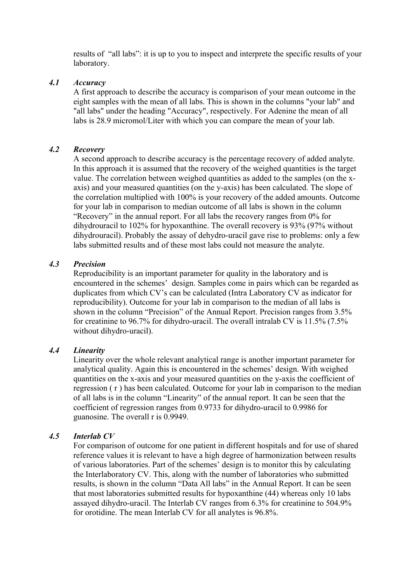results of "all labs": it is up to you to inspect and interprete the specific results of your laboratory.

#### *4.1 Accuracy*

A first approach to describe the accuracy is comparison of your mean outcome in the eight samples with the mean of all labs. This is shown in the columns "your lab" and "all labs" under the heading "Accuracy", respectively. For Adenine the mean of all labs is 28.9 micromol/Liter with which you can compare the mean of your lab.

#### *4.2 Recovery*

A second approach to describe accuracy is the percentage recovery of added analyte. In this approach it is assumed that the recovery of the weighed quantities is the target value. The correlation between weighed quantities as added to the samples (on the xaxis) and your measured quantities (on the y-axis) has been calculated. The slope of the correlation multiplied with 100% is your recovery of the added amounts. Outcome for your lab in comparison to median outcome of all labs is shown in the column "Recovery" in the annual report. For all labs the recovery ranges from 0% for dihydrouracil to 102% for hypoxanthine. The overall recovery is 93% (97% without dihydrouracil). Probably the assay of dehydro-uracil gave rise to problems: only a few labs submitted results and of these most labs could not measure the analyte.

#### *4.3 Precision*

Reproducibility is an important parameter for quality in the laboratory and is encountered in the schemes' design. Samples come in pairs which can be regarded as duplicates from which CV's can be calculated (Intra Laboratory CV as indicator for reproducibility). Outcome for your lab in comparison to the median of all labs is shown in the column "Precision" of the Annual Report. Precision ranges from 3.5% for creatinine to 96.7% for dihydro-uracil. The overall intralab CV is 11.5% (7.5% without dihydro-uracil).

## *4.4 Linearity*

Linearity over the whole relevant analytical range is another important parameter for analytical quality. Again this is encountered in the schemes' design. With weighed quantities on the x-axis and your measured quantities on the y-axis the coefficient of regression ( r ) has been calculated. Outcome for your lab in comparison to the median of all labs is in the column "Linearity" of the annual report. It can be seen that the coefficient of regression ranges from 0.9733 for dihydro-uracil to 0.9986 for guanosine. The overall r is 0.9949.

## *4.5 Interlab CV*

For comparison of outcome for one patient in different hospitals and for use of shared reference values it is relevant to have a high degree of harmonization between results of various laboratories. Part of the schemes' design is to monitor this by calculating the Interlaboratory CV. This, along with the number of laboratories who submitted results, is shown in the column "Data All labs" in the Annual Report. It can be seen that most laboratories submitted results for hypoxanthine (44) whereas only 10 labs assayed dihydro-uracil. The Interlab CV ranges from 6.3% for creatinine to 504.9% for orotidine. The mean Interlab CV for all analytes is 96.8%.